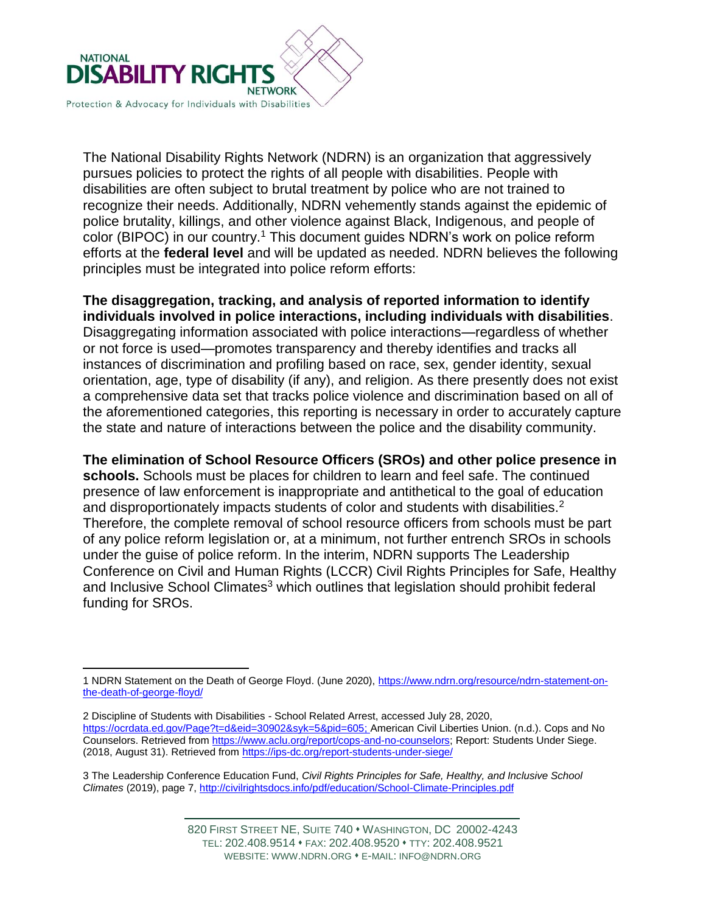

The National Disability Rights Network (NDRN) is an organization that aggressively pursues policies to protect the rights of all people with disabilities. People with disabilities are often subject to brutal treatment by police who are not trained to recognize their needs. Additionally, NDRN vehemently stands against the epidemic of police brutality, killings, and other violence against Black, Indigenous, and people of color (BIPOC) in our country.<sup>1</sup> This document guides NDRN's work on police reform efforts at the **federal level** and will be updated as needed. NDRN believes the following principles must be integrated into police reform efforts:

**The disaggregation, tracking, and analysis of reported information to identify individuals involved in police interactions, including individuals with disabilities**. Disaggregating information associated with police interactions—regardless of whether or not force is used—promotes transparency and thereby identifies and tracks all instances of discrimination and profiling based on race, sex, gender identity, sexual orientation, age, type of disability (if any), and religion. As there presently does not exist a comprehensive data set that tracks police violence and discrimination based on all of the aforementioned categories, this reporting is necessary in order to accurately capture the state and nature of interactions between the police and the disability community.

**The elimination of School Resource Officers (SROs) and other police presence in schools.** Schools must be places for children to learn and feel safe. The continued presence of law enforcement is inappropriate and antithetical to the goal of education and disproportionately impacts students of color and students with disabilities.<sup>2</sup> Therefore, the complete removal of school resource officers from schools must be part of any police reform legislation or, at a minimum, not further entrench SROs in schools under the guise of police reform. In the interim, NDRN supports The Leadership Conference on Civil and Human Rights (LCCR) Civil Rights Principles for Safe, Healthy and Inclusive School Climates<sup>3</sup> which outlines that legislation should prohibit federal funding for SROs.

3 The Leadership Conference Education Fund, *Civil Rights Principles for Safe, Healthy, and Inclusive School Climates* (2019), page 7,<http://civilrightsdocs.info/pdf/education/School-Climate-Principles.pdf>

 $\overline{a}$ 1 NDRN Statement on the Death of George Floyd. (June 2020), [https://www.ndrn.org/resource/ndrn-statement-on](https://www.ndrn.org/resource/ndrn-statement-on-the-death-of-george-floyd/)[the-death-of-george-floyd/](https://www.ndrn.org/resource/ndrn-statement-on-the-death-of-george-floyd/)

<sup>2</sup> Discipline of Students with Disabilities - School Related Arrest, accessed July 28, 2020, [https://ocrdata.ed.gov/Page?t=d&eid=30902&syk=5&pid=605;](https://ocrdata.ed.gov/Page?t=d&eid=30902&syk=5&pid=605) American Civil Liberties Union. (n.d.). Cops and No Counselors. Retrieved from [https://www.aclu.org/report/cops-and-no-counselors;](https://www.aclu.org/report/cops-and-no-counselors) Report: Students Under Siege. (2018, August 31). Retrieved from<https://ips-dc.org/report-students-under-siege/>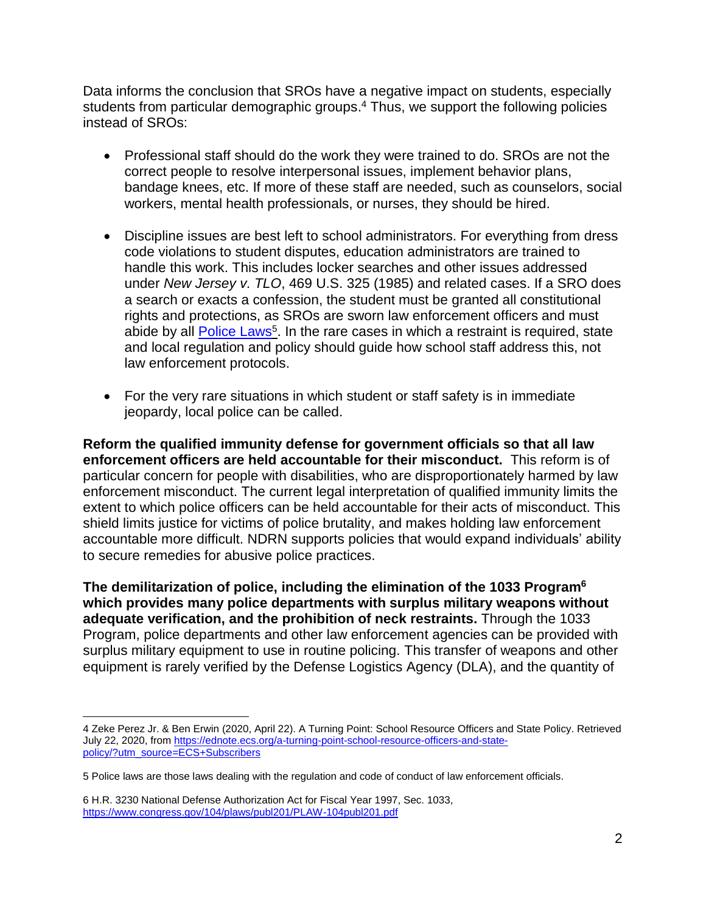Data informs the conclusion that SROs have a negative impact on students, especially students from particular demographic groups.<sup>4</sup> Thus, we support the following policies instead of SROs:

- Professional staff should do the work they were trained to do. SROs are not the correct people to resolve interpersonal issues, implement behavior plans, bandage knees, etc. If more of these staff are needed, such as counselors, social workers, mental health professionals, or nurses, they should be hired.
- Discipline issues are best left to school administrators. For everything from dress code violations to student disputes, education administrators are trained to handle this work. This includes locker searches and other issues addressed under *New Jersey v. TLO*, 469 U.S. 325 (1985) and related cases. If a SRO does a search or exacts a confession, the student must be granted all constitutional rights and protections, as SROs are sworn law enforcement officers and must abide by all **Police Laws<sup>5</sup>.** In the rare cases in which a restraint is required, state and local regulation and policy should guide how school staff address this, not law enforcement protocols.
- For the very rare situations in which student or staff safety is in immediate jeopardy, local police can be called.

**Reform the qualified immunity defense for government officials so that all law enforcement officers are held accountable for their misconduct.** This reform is of particular concern for people with disabilities, who are disproportionately harmed by law enforcement misconduct. The current legal interpretation of qualified immunity limits the extent to which police officers can be held accountable for their acts of misconduct. This shield limits justice for victims of police brutality, and makes holding law enforcement accountable more difficult. NDRN supports policies that would expand individuals' ability to secure remedies for abusive police practices.

**The demilitarization of police, including the elimination of the 1033 Program<sup>6</sup> which provides many police departments with surplus military weapons without adequate verification, and the prohibition of neck restraints.** Through the 1033 Program, police departments and other law enforcement agencies can be provided with surplus military equipment to use in routine policing. This transfer of weapons and other equipment is rarely verified by the Defense Logistics Agency (DLA), and the quantity of

 $\overline{a}$ 

<sup>4</sup> Zeke Perez Jr. & Ben Erwin (2020, April 22). A Turning Point: School Resource Officers and State Policy. Retrieved July 22, 2020, from [https://ednote.ecs.org/a-turning-point-school-resource-officers-and-state](https://ednote.ecs.org/a-turning-point-school-resource-officers-and-state-policy/?utm_source=ECS+Subscribers)[policy/?utm\\_source=ECS+Subscribers](https://ednote.ecs.org/a-turning-point-school-resource-officers-and-state-policy/?utm_source=ECS+Subscribers)

<sup>5</sup> Police laws are those laws dealing with the regulation and code of conduct of law enforcement officials.

<sup>6</sup> H.R. 3230 National Defense Authorization Act for Fiscal Year 1997, Sec. 1033, <https://www.congress.gov/104/plaws/publ201/PLAW-104publ201.pdf>